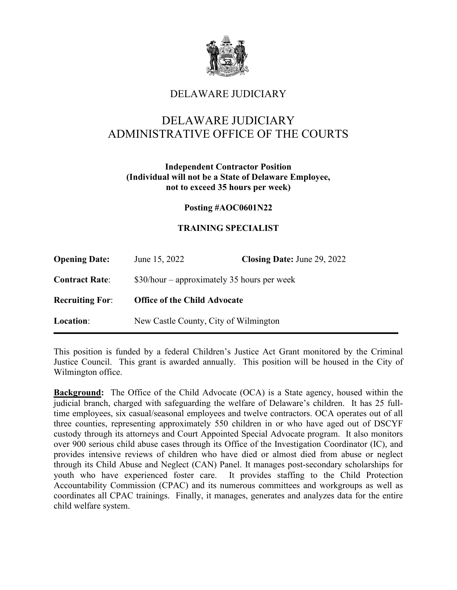

## DELAWARE JUDICIARY

# DELAWARE JUDICIARY ADMINISTRATIVE OFFICE OF THE COURTS

#### **Independent Contractor Position (Individual will not be a State of Delaware Employee, not to exceed 35 hours per week)**

#### **Posting #AOC0601N22**

## **TRAINING SPECIALIST**

| <b>Opening Date:</b>   | June 15, 2022                                | Closing Date: June 29, 2022 |
|------------------------|----------------------------------------------|-----------------------------|
| <b>Contract Rate:</b>  | $$30/hour$ – approximately 35 hours per week |                             |
| <b>Recruiting For:</b> | <b>Office of the Child Advocate</b>          |                             |
| Location:              | New Castle County, City of Wilmington        |                             |

This position is funded by a federal Children's Justice Act Grant monitored by the Criminal Justice Council. This grant is awarded annually. This position will be housed in the City of Wilmington office.

**Background:** The Office of the Child Advocate (OCA) is a State agency, housed within the judicial branch, charged with safeguarding the welfare of Delaware's children. It has 25 fulltime employees, six casual/seasonal employees and twelve contractors. OCA operates out of all three counties, representing approximately 550 children in or who have aged out of DSCYF custody through its attorneys and Court Appointed Special Advocate program. It also monitors over 900 serious child abuse cases through its Office of the Investigation Coordinator (IC), and provides intensive reviews of children who have died or almost died from abuse or neglect through its Child Abuse and Neglect (CAN) Panel. It manages post-secondary scholarships for youth who have experienced foster care. It provides staffing to the Child Protection Accountability Commission (CPAC) and its numerous committees and workgroups as well as coordinates all CPAC trainings. Finally, it manages, generates and analyzes data for the entire child welfare system.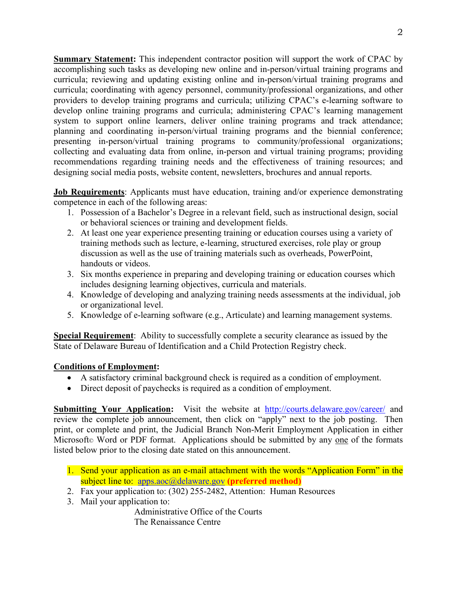**Summary Statement:** This independent contractor position will support the work of CPAC by accomplishing such tasks as developing new online and in-person/virtual training programs and curricula; reviewing and updating existing online and in-person/virtual training programs and curricula; coordinating with agency personnel, community/professional organizations, and other providers to develop training programs and curricula; utilizing CPAC's e-learning software to develop online training programs and curricula; administering CPAC's learning management system to support online learners, deliver online training programs and track attendance; planning and coordinating in-person/virtual training programs and the biennial conference; presenting in-person/virtual training programs to community/professional organizations; collecting and evaluating data from online, in-person and virtual training programs; providing recommendations regarding training needs and the effectiveness of training resources; and designing social media posts, website content, newsletters, brochures and annual reports.

**Job Requirements**: Applicants must have education, training and/or experience demonstrating competence in each of the following areas:

- 1. Possession of a Bachelor's Degree in a relevant field, such as instructional design, social or behavioral sciences or training and development fields.
- 2. At least one year experience presenting training or education courses using a variety of training methods such as lecture, e-learning, structured exercises, role play or group discussion as well as the use of training materials such as overheads, PowerPoint, handouts or videos.
- 3. Six months experience in preparing and developing training or education courses which includes designing learning objectives, curricula and materials.
- 4. Knowledge of developing and analyzing training needs assessments at the individual, job or organizational level.
- 5. Knowledge of e-learning software (e.g., Articulate) and learning management systems.

**Special Requirement**: Ability to successfully complete a security clearance as issued by the State of Delaware Bureau of Identification and a Child Protection Registry check.

#### **Conditions of Employment:**

- A satisfactory criminal background check is required as a condition of employment.
- Direct deposit of paychecks is required as a condition of employment.

**Submitting Your Application:** Visit the website at <http://courts.delaware.gov/career/> and review the complete job announcement, then click on "apply" next to the job posting. Then print, or complete and print, the Judicial Branch Non-Merit Employment Application in either Microsoft© Word or PDF format. Applications should be submitted by any one of the formats listed below prior to the closing date stated on this announcement.

- 1. Send your application as an e-mail attachment with the words "Application Form" in the subject line to: [apps.aoc@delaware.gov](mailto:apps.aoc@delaware.gov) **(preferred method)**
- 2. Fax your application to: (302) 255-2482, Attention: Human Resources
- 3. Mail your application to:

Administrative Office of the Courts The Renaissance Centre